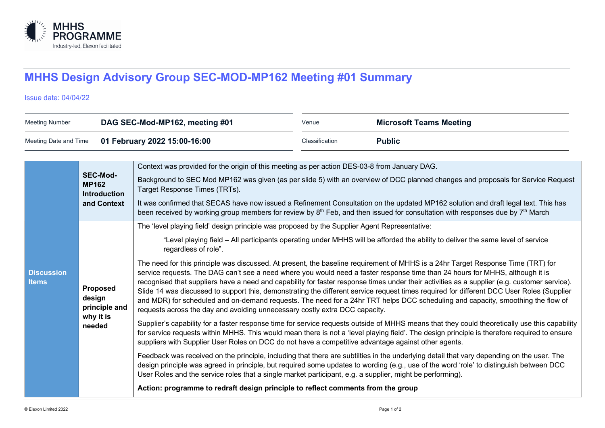

## **MHHS Design Advisory Group SEC-MOD-MP162 Meeting #01 Summary**

Issue date: 04/04/22

| <b>Meeting Number</b>                                 |                                                                       | DAG SEC-Mod-MP162, meeting #01                                                                                                                                                                                                                                                                                                                                                                                                                                                                                                                                                                                                                                                                                                                                                                                                                                                                                                                                                                                                                                                                                                                                                                                                                                                                                                                                                                                                                                                                                                                                                                                                                                                                                                                                                                                                                                                                                                               | Venue          | <b>Microsoft Teams Meeting</b> |
|-------------------------------------------------------|-----------------------------------------------------------------------|----------------------------------------------------------------------------------------------------------------------------------------------------------------------------------------------------------------------------------------------------------------------------------------------------------------------------------------------------------------------------------------------------------------------------------------------------------------------------------------------------------------------------------------------------------------------------------------------------------------------------------------------------------------------------------------------------------------------------------------------------------------------------------------------------------------------------------------------------------------------------------------------------------------------------------------------------------------------------------------------------------------------------------------------------------------------------------------------------------------------------------------------------------------------------------------------------------------------------------------------------------------------------------------------------------------------------------------------------------------------------------------------------------------------------------------------------------------------------------------------------------------------------------------------------------------------------------------------------------------------------------------------------------------------------------------------------------------------------------------------------------------------------------------------------------------------------------------------------------------------------------------------------------------------------------------------|----------------|--------------------------------|
| 01 February 2022 15:00-16:00<br>Meeting Date and Time |                                                                       |                                                                                                                                                                                                                                                                                                                                                                                                                                                                                                                                                                                                                                                                                                                                                                                                                                                                                                                                                                                                                                                                                                                                                                                                                                                                                                                                                                                                                                                                                                                                                                                                                                                                                                                                                                                                                                                                                                                                              | Classification | <b>Public</b>                  |
| <b>Discussion</b><br><b>Items</b>                     | <b>SEC-Mod-</b><br><b>MP162</b><br><b>Introduction</b><br>and Context | Context was provided for the origin of this meeting as per action DES-03-8 from January DAG.<br>Background to SEC Mod MP162 was given (as per slide 5) with an overview of DCC planned changes and proposals for Service Request<br>Target Response Times (TRTs).<br>It was confirmed that SECAS have now issued a Refinement Consultation on the updated MP162 solution and draft legal text. This has<br>been received by working group members for review by 8 <sup>th</sup> Feb, and then issued for consultation with responses due by 7 <sup>th</sup> March                                                                                                                                                                                                                                                                                                                                                                                                                                                                                                                                                                                                                                                                                                                                                                                                                                                                                                                                                                                                                                                                                                                                                                                                                                                                                                                                                                            |                |                                |
|                                                       | Proposed<br>design<br>principle and<br>why it is<br>needed            | The 'level playing field' design principle was proposed by the Supplier Agent Representative:<br>"Level playing field - All participants operating under MHHS will be afforded the ability to deliver the same level of service<br>regardless of role".<br>The need for this principle was discussed. At present, the baseline requirement of MHHS is a 24hr Target Response Time (TRT) for<br>service requests. The DAG can't see a need where you would need a faster response time than 24 hours for MHHS, although it is<br>recognised that suppliers have a need and capability for faster response times under their activities as a supplier (e.g. customer service).<br>Slide 14 was discussed to support this, demonstrating the different service request times required for different DCC User Roles (Supplier<br>and MDR) for scheduled and on-demand requests. The need for a 24hr TRT helps DCC scheduling and capacity, smoothing the flow of<br>requests across the day and avoiding unnecessary costly extra DCC capacity.<br>Supplier's capability for a faster response time for service requests outside of MHHS means that they could theoretically use this capability<br>for service requests within MHHS. This would mean there is not a 'level playing field'. The design principle is therefore required to ensure<br>suppliers with Supplier User Roles on DCC do not have a competitive advantage against other agents.<br>Feedback was received on the principle, including that there are subtilties in the underlying detail that vary depending on the user. The<br>design principle was agreed in principle, but required some updates to wording (e.g., use of the word 'role' to distinguish between DCC<br>User Roles and the service roles that a single market participant, e.g. a supplier, might be performing).<br>Action: programme to redraft design principle to reflect comments from the group |                |                                |